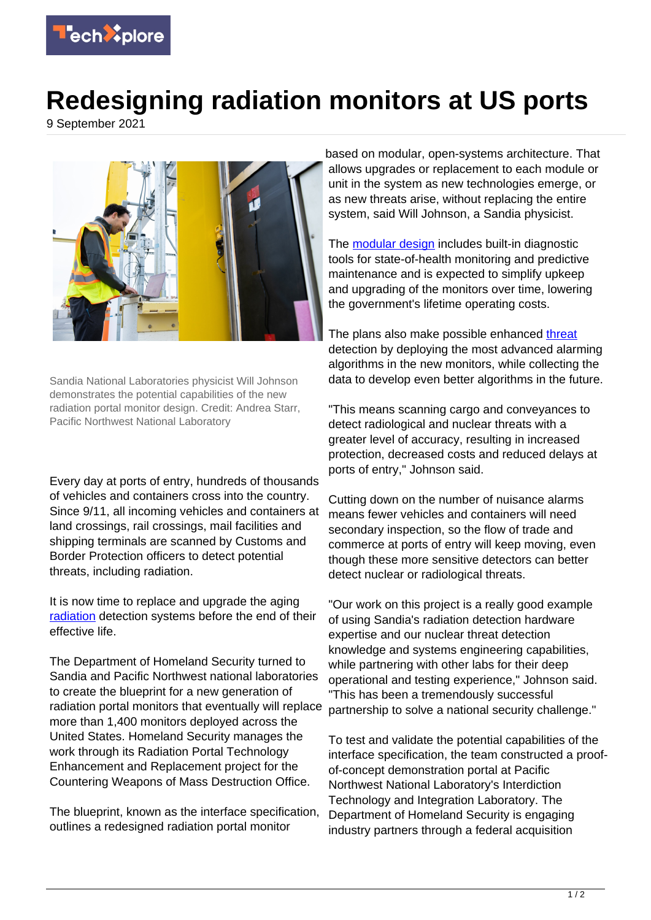

## **Redesigning radiation monitors at US ports**

9 September 2021



Sandia National Laboratories physicist Will Johnson demonstrates the potential capabilities of the new radiation portal monitor design. Credit: Andrea Starr, Pacific Northwest National Laboratory

Every day at ports of entry, hundreds of thousands of vehicles and containers cross into the country. Since 9/11, all incoming vehicles and containers at land crossings, rail crossings, mail facilities and shipping terminals are scanned by Customs and Border Protection officers to detect potential threats, including radiation.

It is now time to replace and upgrade the aging [radiation](https://techxplore.com/tags/radiation/) detection systems before the end of their effective life.

The Department of Homeland Security turned to Sandia and Pacific Northwest national laboratories to create the blueprint for a new generation of radiation portal monitors that eventually will replace more than 1,400 monitors deployed across the United States. Homeland Security manages the work through its Radiation Portal Technology Enhancement and Replacement project for the Countering Weapons of Mass Destruction Office.

The blueprint, known as the interface specification, outlines a redesigned radiation portal monitor

based on modular, open-systems architecture. That allows upgrades or replacement to each module or unit in the system as new technologies emerge, or as new threats arise, without replacing the entire system, said Will Johnson, a Sandia physicist.

The **modular design** includes built-in diagnostic tools for state-of-health monitoring and predictive maintenance and is expected to simplify upkeep and upgrading of the monitors over time, lowering the government's lifetime operating costs.

The plans also make possible enhanced [threat](https://techxplore.com/tags/threat/) detection by deploying the most advanced alarming algorithms in the new monitors, while collecting the data to develop even better algorithms in the future.

"This means scanning cargo and conveyances to detect radiological and nuclear threats with a greater level of accuracy, resulting in increased protection, decreased costs and reduced delays at ports of entry," Johnson said.

Cutting down on the number of nuisance alarms means fewer vehicles and containers will need secondary inspection, so the flow of trade and commerce at ports of entry will keep moving, even though these more sensitive detectors can better detect nuclear or radiological threats.

"Our work on this project is a really good example of using Sandia's radiation detection hardware expertise and our nuclear threat detection knowledge and systems engineering capabilities, while partnering with other labs for their deep operational and testing experience," Johnson said. "This has been a tremendously successful partnership to solve a national security challenge."

To test and validate the potential capabilities of the interface specification, the team constructed a proofof-concept demonstration portal at Pacific Northwest National Laboratory's Interdiction Technology and Integration Laboratory. The Department of Homeland Security is engaging industry partners through a federal acquisition